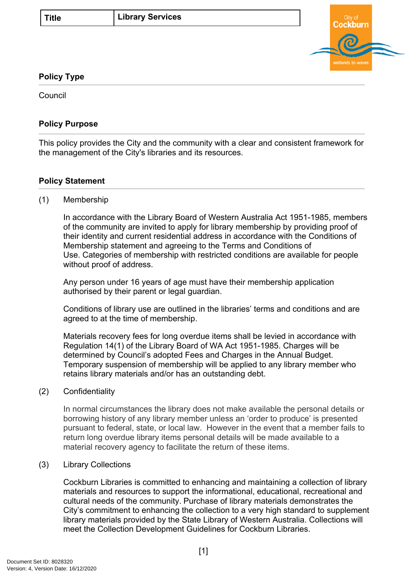

### **Policy Type**

Council

## **Policy Purpose**

This policy provides the City and the community with a clear and consistent framework for the management of the City's libraries and its resources.

# **Policy Statement**

### (1) Membership

In accordance with the Library Board of Western Australia Act 1951-1985, members of the community are invited to apply for library membership by providing proof of their identity and current residential address in accordance with the Conditions of Membership statement and agreeing to the Terms and Conditions of Use. Categories of membership with restricted conditions are available for people without proof of address.

Any person under 16 years of age must have their membership application authorised by their parent or legal guardian.

Conditions of library use are outlined in the libraries' terms and conditions and are agreed to at the time of membership.

Materials recovery fees for long overdue items shall be levied in accordance with Regulation 14(1) of the Library Board of WA Act 1951-1985. Charges will be determined by Council's adopted Fees and Charges in the Annual Budget. Temporary suspension of membership will be applied to any library member who retains library materials and/or has an outstanding debt.

#### (2) Confidentiality

In normal circumstances the library does not make available the personal details or borrowing history of any library member unless an 'order to produce' is presented pursuant to federal, state, or local law. However in the event that a member fails to return long overdue library items personal details will be made available to a material recovery agency to facilitate the return of these items.

### (3) Library Collections

Cockburn Libraries is committed to enhancing and maintaining a collection of library materials and resources to support the informational, educational, recreational and cultural needs of the community. Purchase of library materials demonstrates the City's commitment to enhancing the collection to a very high standard to supplement library materials provided by the State Library of Western Australia. Collections will meet the Collection Development Guidelines for Cockburn Libraries.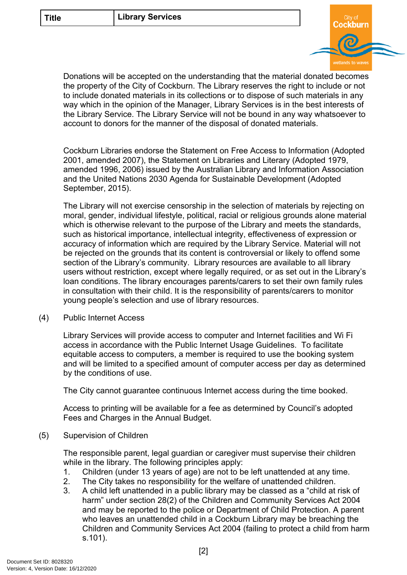

Donations will be accepted on the understanding that the material donated becomes the property of the City of Cockburn. The Library reserves the right to include or not to include donated materials in its collections or to dispose of such materials in any way which in the opinion of the Manager, Library Services is in the best interests of the Library Service. The Library Service will not be bound in any way whatsoever to account to donors for the manner of the disposal of donated materials.

Cockburn Libraries endorse the Statement on Free Access to Information (Adopted 2001, amended 2007), the Statement on Libraries and Literary (Adopted 1979, amended 1996, 2006) issued by the Australian Library and Information Association and the United Nations 2030 Agenda for Sustainable Development (Adopted September, 2015).

The Library will not exercise censorship in the selection of materials by rejecting on moral, gender, individual lifestyle, political, racial or religious grounds alone material which is otherwise relevant to the purpose of the Library and meets the standards, such as historical importance, intellectual integrity, effectiveness of expression or accuracy of information which are required by the Library Service. Material will not be rejected on the grounds that its content is controversial or likely to offend some section of the Library's community. Library resources are available to all library users without restriction, except where legally required, or as set out in the Library's loan conditions. The library encourages parents/carers to set their own family rules in consultation with their child. It is the responsibility of parents/carers to monitor young people's selection and use of library resources.

(4) Public Internet Access

Library Services will provide access to computer and Internet facilities and Wi Fi access in accordance with the Public Internet Usage Guidelines. To facilitate equitable access to computers, a member is required to use the booking system and will be limited to a specified amount of computer access per day as determined by the conditions of use.

The City cannot guarantee continuous Internet access during the time booked.

Access to printing will be available for a fee as determined by Council's adopted Fees and Charges in the Annual Budget.

(5) Supervision of Children

The responsible parent, legal guardian or caregiver must supervise their children while in the library. The following principles apply:

- 1. Children (under 13 years of age) are not to be left unattended at any time.
- 2. The City takes no responsibility for the welfare of unattended children.
- 3. A child left unattended in a public library may be classed as a "child at risk of harm" under section 28(2) of the Children and Community Services Act 2004 and may be reported to the police or Department of Child Protection. A parent who leaves an unattended child in a Cockburn Library may be breaching the Children and Community Services Act 2004 (failing to protect a child from harm s.101).